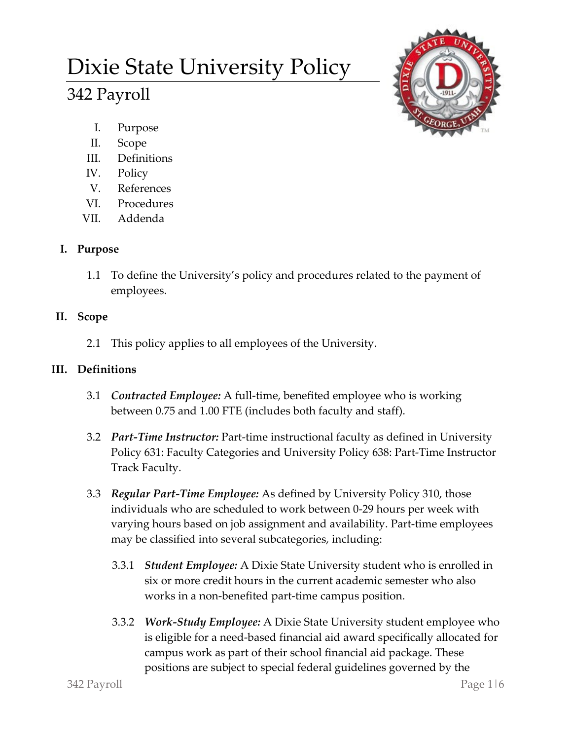# Dixie State University Policy

# 342 Payroll



- I. Purpose
- II. Scope
- III. Definitions
- IV. Policy
- V. References
- VI. Procedures
- VII. Addenda

# **I. Purpose**

1.1 To define the University's policy and procedures related to the payment of employees.

# **II. Scope**

2.1 This policy applies to all employees of the University.

### **III. Definitions**

- 3.1 *Contracted Employee:* A full-time, benefited employee who is working between 0.75 and 1.00 FTE (includes both faculty and staff).
- 3.2 *Part-Time Instructor:* Part-time instructional faculty as defined in University Policy 631: Faculty Categories and University Policy 638: Part-Time Instructor Track Faculty.
- 3.3 *Regular Part-Time Employee:* As defined by University Policy 310, those individuals who are scheduled to work between 0-29 hours per week with varying hours based on job assignment and availability. Part-time employees may be classified into several subcategories, including:
	- 3.3.1 *Student Employee:* A Dixie State University student who is enrolled in six or more credit hours in the current academic semester who also works in a non-benefited part-time campus position.
	- 3.3.2 *Work-Study Employee:* A Dixie State University student employee who is eligible for a need-based financial aid award specifically allocated for campus work as part of their school financial aid package. These positions are subject to special federal guidelines governed by the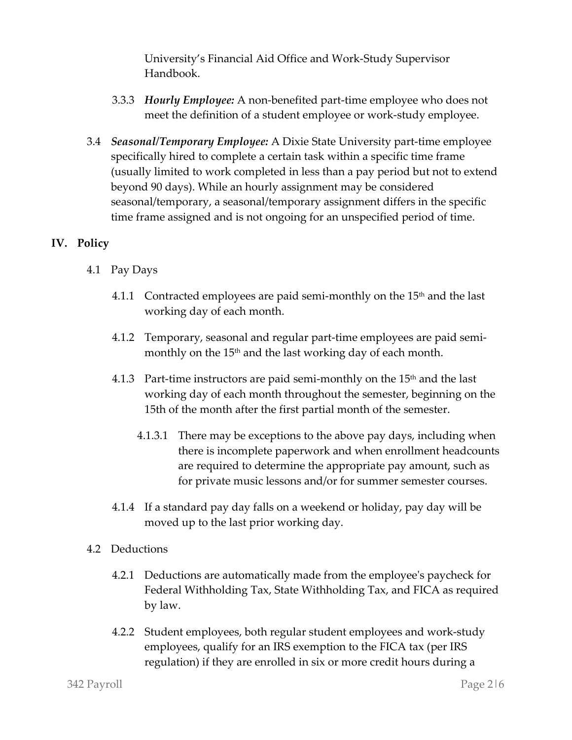University's Financial Aid Office and Work-Study Supervisor Handbook.

- 3.3.3 *Hourly Employee:* A non-benefited part-time employee who does not meet the definition of a student employee or work-study employee.
- 3.4 *Seasonal/Temporary Employee:* A Dixie State University part-time employee specifically hired to complete a certain task within a specific time frame (usually limited to work completed in less than a pay period but not to extend beyond 90 days). While an hourly assignment may be considered seasonal/temporary, a seasonal/temporary assignment differs in the specific time frame assigned and is not ongoing for an unspecified period of time.

#### **IV. Policy**

- 4.1 Pay Days
	- 4.1.1 Contracted employees are paid semi-monthly on the  $15<sup>th</sup>$  and the last working day of each month.
	- 4.1.2 Temporary, seasonal and regular part-time employees are paid semimonthly on the 15<sup>th</sup> and the last working day of each month.
	- 4.1.3 Part-time instructors are paid semi-monthly on the  $15<sup>th</sup>$  and the last working day of each month throughout the semester, beginning on the 15th of the month after the first partial month of the semester.
		- 4.1.3.1 There may be exceptions to the above pay days, including when there is incomplete paperwork and when enrollment headcounts are required to determine the appropriate pay amount, such as for private music lessons and/or for summer semester courses.
	- 4.1.4 If a standard pay day falls on a weekend or holiday, pay day will be moved up to the last prior working day.
- 4.2 Deductions
	- 4.2.1 Deductions are automatically made from the employee's paycheck for Federal Withholding Tax, State Withholding Tax, and FICA as required by law.
	- 4.2.2 Student employees, both regular student employees and work-study employees, qualify for an IRS exemption to the FICA tax (per IRS regulation) if they are enrolled in six or more credit hours during a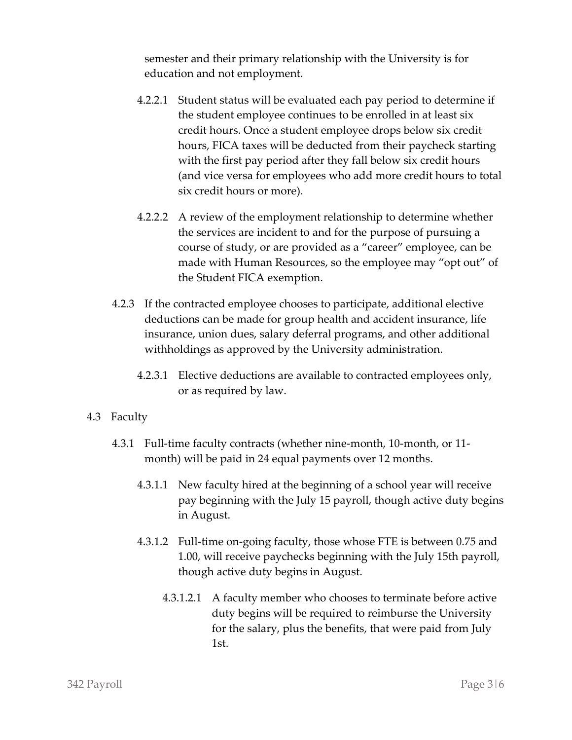semester and their primary relationship with the University is for education and not employment.

- 4.2.2.1 Student status will be evaluated each pay period to determine if the student employee continues to be enrolled in at least six credit hours. Once a student employee drops below six credit hours, FICA taxes will be deducted from their paycheck starting with the first pay period after they fall below six credit hours (and vice versa for employees who add more credit hours to total six credit hours or more).
- 4.2.2.2 A review of the employment relationship to determine whether the services are incident to and for the purpose of pursuing a course of study, or are provided as a "career" employee, can be made with Human Resources, so the employee may "opt out" of the Student FICA exemption.
- 4.2.3 If the contracted employee chooses to participate, additional elective deductions can be made for group health and accident insurance, life insurance, union dues, salary deferral programs, and other additional withholdings as approved by the University administration.
	- 4.2.3.1 Elective deductions are available to contracted employees only, or as required by law.

#### 4.3 Faculty

- 4.3.1 Full-time faculty contracts (whether nine-month, 10-month, or 11 month) will be paid in 24 equal payments over 12 months.
	- 4.3.1.1 New faculty hired at the beginning of a school year will receive pay beginning with the July 15 payroll, though active duty begins in August.
	- 4.3.1.2 Full-time on-going faculty, those whose FTE is between 0.75 and 1.00, will receive paychecks beginning with the July 15th payroll, though active duty begins in August.
		- 4.3.1.2.1 A faculty member who chooses to terminate before active duty begins will be required to reimburse the University for the salary, plus the benefits, that were paid from July 1st.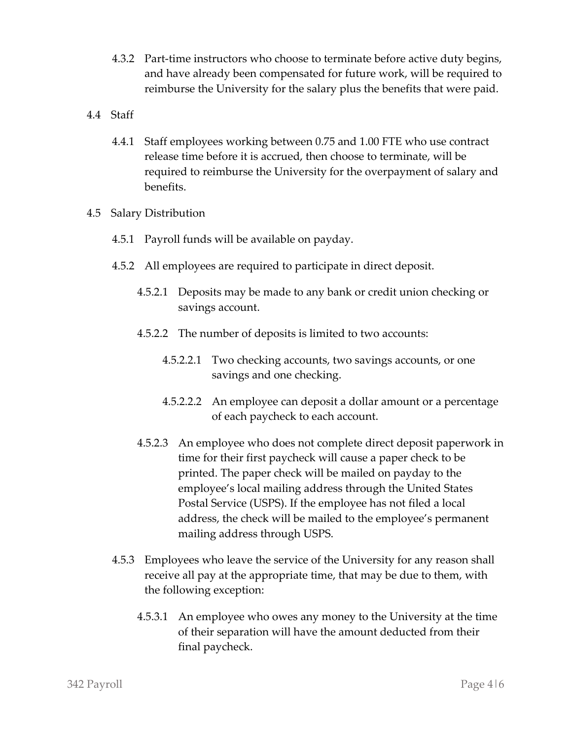- 4.3.2 Part-time instructors who choose to terminate before active duty begins, and have already been compensated for future work, will be required to reimburse the University for the salary plus the benefits that were paid.
- 4.4 Staff
	- 4.4.1 Staff employees working between 0.75 and 1.00 FTE who use contract release time before it is accrued, then choose to terminate, will be required to reimburse the University for the overpayment of salary and benefits.
- 4.5 Salary Distribution
	- 4.5.1 Payroll funds will be available on payday.
	- 4.5.2 All employees are required to participate in direct deposit.
		- 4.5.2.1 Deposits may be made to any bank or credit union checking or savings account.
		- 4.5.2.2 The number of deposits is limited to two accounts:
			- 4.5.2.2.1 Two checking accounts, two savings accounts, or one savings and one checking.
			- 4.5.2.2.2 An employee can deposit a dollar amount or a percentage of each paycheck to each account.
		- 4.5.2.3 An employee who does not complete direct deposit paperwork in time for their first paycheck will cause a paper check to be printed. The paper check will be mailed on payday to the employee's local mailing address through the United States Postal Service (USPS). If the employee has not filed a local address, the check will be mailed to the employee's permanent mailing address through USPS.
	- 4.5.3 Employees who leave the service of the University for any reason shall receive all pay at the appropriate time, that may be due to them, with the following exception:
		- 4.5.3.1 An employee who owes any money to the University at the time of their separation will have the amount deducted from their final paycheck.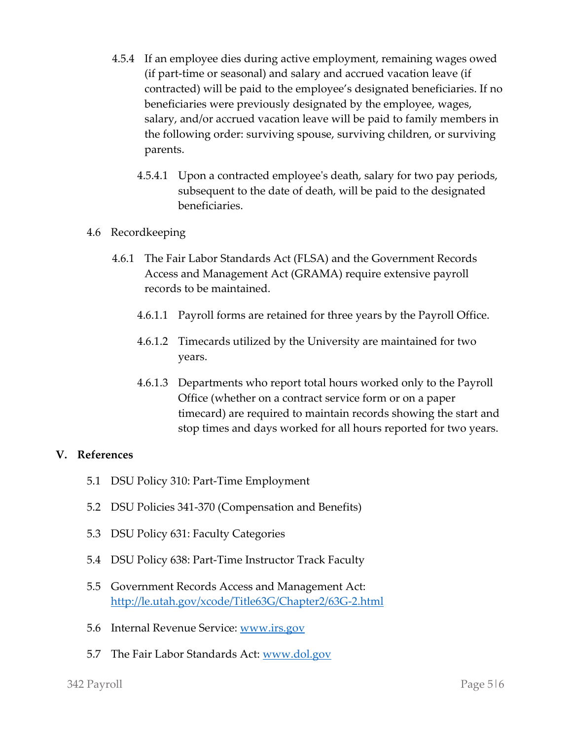- 4.5.4 If an employee dies during active employment, remaining wages owed (if part-time or seasonal) and salary and accrued vacation leave (if contracted) will be paid to the employee's designated beneficiaries. If no beneficiaries were previously designated by the employee, wages, salary, and/or accrued vacation leave will be paid to family members in the following order: surviving spouse, surviving children, or surviving parents.
	- 4.5.4.1 Upon a contracted employee's death, salary for two pay periods, subsequent to the date of death, will be paid to the designated beneficiaries.
- 4.6 Recordkeeping
	- 4.6.1 The Fair Labor Standards Act (FLSA) and the Government Records Access and Management Act (GRAMA) require extensive payroll records to be maintained.
		- 4.6.1.1 Payroll forms are retained for three years by the Payroll Office.
		- 4.6.1.2 Timecards utilized by the University are maintained for two years.
		- 4.6.1.3 Departments who report total hours worked only to the Payroll Office (whether on a contract service form or on a paper timecard) are required to maintain records showing the start and stop times and days worked for all hours reported for two years.

#### **V. References**

- 5.1 DSU Policy 310: Part-Time Employment
- 5.2 DSU Policies 341-370 (Compensation and Benefits)
- 5.3 DSU Policy 631: Faculty Categories
- 5.4 DSU Policy 638: Part-Time Instructor Track Faculty
- 5.5 Government Records Access and Management Act: <http://le.utah.gov/xcode/Title63G/Chapter2/63G-2.html>
- 5.6 Internal Revenue Service: [www.irs.gov](http://www.irs.gov/)
- 5.7 The Fair Labor Standards Act: [www.dol.gov](http://www.dol.gov/)